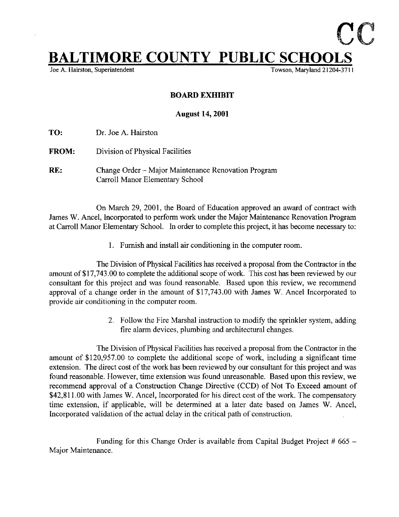## $L$ TIMORE COUNTY PUBLIC SCHOOLS

Joe A. Hairston, Superintendent

## BOARD EXHIBIT

## August 14, 2001

TO: Dr. Joe A. Hairston

FROM: Division of Physical Facilities

RE: Change Order – Major Maintenance Renovation Program Carroll Manor Elementary School

On March 29, 2001, the Board of Education approved an award of contract with James W. Ancel, Incorporated to perform work under the Major Maintenance Renovation Program at Carroll Manor Elementary School. In order to complete this project, it has become necessary to :

1. Furnish and install air conditioning in the computer room.

The Division of Physical Facilities has received a proposal from the Contractor in the amount of \$17,743.00 to complete the additional scope of work. This cost has been reviewed by our consultant for this project and was found reasonable. Based upon this review, we recommend approval of <sup>a</sup> change order in the amount of \$17,743 .00 with James W. Ancel Incorporated to provide air conditioning in the computer room.

> 2. Follow the Fire Marshal instruction to modify the sprinkler system, adding fire alarm devices, plumbing and architectural changes .

The Division of Physical Facilities has received a proposal from the Contractor in the amount of \$120,957.00 to complete the additional scope of work, including a significant time extension. The direct cost of the work has been reviewed by our consultant for this project and was found reasonable. However, time extension was found unreasonable . Based upon this review, we recommend approval of a Construction Change Directive (CCD) of Not To Exceed amount of \$42,811.00 with James W. Ancel, Incorporated for his direct cost of the work. The compensatory time extension, if applicable, will be determined at <sup>a</sup> later date based on James W. Ancel, Incorporated validation of the actual delay in the critical path of construction.

Funding for this Change Order is available from Capital Budget Project  $#665 -$ Major Maintenance .